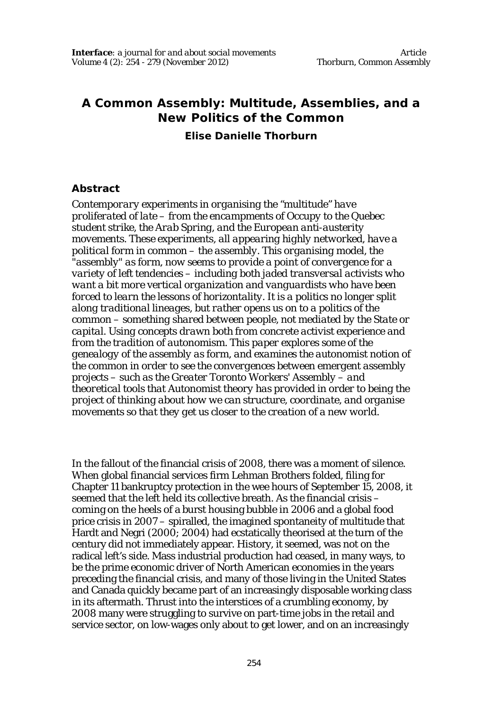# **A Common Assembly: Multitude, Assemblies, and a New Politics of the Common**

### **Elise Danielle Thorburn**

### **Abstract**

*Contemporary experiments in organising the "multitude" have proliferated of late – from the encampments of Occupy to the Quebec student strike, the Arab Spring, and the European anti-austerity movements. These experiments, all appearing highly networked, have a political form in common – the assembly. This organising model, the "assembly" as form, now seems to provide a point of convergence for a variety of left tendencies – including both jaded transversal activists who want a bit more vertical organization and vanguardists who have been forced to learn the lessons of horizontality. It is a politics no longer split along traditional lineages, but rather opens us on to a politics of the common – something shared between people, not mediated by the State or capital. Using concepts drawn both from concrete activist experience and from the tradition of autonomism. This paper explores some of the genealogy of the assembly as form, and examines the autonomist notion of the common in order to see the convergences between emergent assembly projects – such as the Greater Toronto Workers' Assembly – and theoretical tools that Autonomist theory has provided in order to being the project of thinking about how we can structure, coordinate, and organise movements so that they get us closer to the creation of a new world.*

In the fallout of the financial crisis of 2008, there was a moment of silence. When global financial services firm Lehman Brothers folded, filing for Chapter 11 bankruptcy protection in the wee hours of September 15, 2008, it seemed that the left held its collective breath. As the financial crisis – coming on the heels of a burst housing bubble in 2006 and a global food price crisis in 2007 – spiralled, the imagined spontaneity of multitude that Hardt and Negri (2000; 2004) had ecstatically theorised at the turn of the century did not immediately appear. History, it seemed, was not on the radical left's side. Mass industrial production had ceased, in many ways, to be the prime economic driver of North American economies in the years preceding the financial crisis, and many of those living in the United States and Canada quickly became part of an increasingly disposable working class in its aftermath. Thrust into the interstices of a crumbling economy, by 2008 many were struggling to survive on part-time jobs in the retail and service sector, on low-wages only about to get lower, and on an increasingly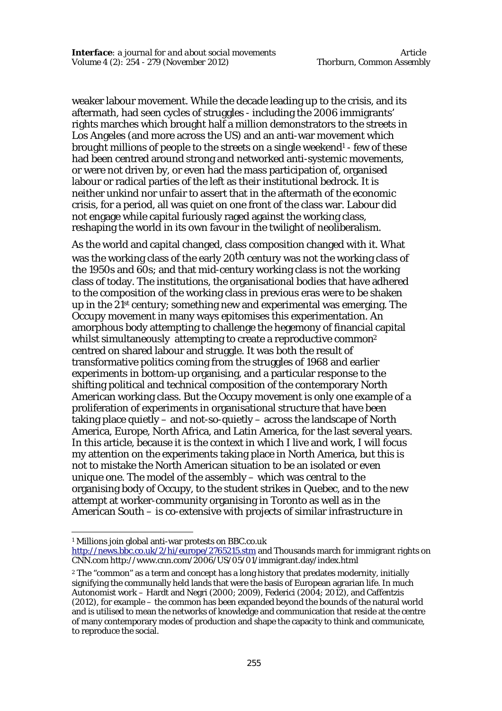weaker labour movement. While the decade leading up to the crisis, and its aftermath, had seen cycles of struggles - including the 2006 immigrants' rights marches which brought half a million demonstrators to the streets in Los Angeles (and more across the US) and an anti-war movement which brought millions of people to the streets on a single weekend<sup>1</sup> - few of these had been centred around strong and networked anti-systemic movements, or were not driven by, or even had the mass participation of, organised labour or radical parties of the left as their institutional bedrock. It is neither unkind nor unfair to assert that in the aftermath of the economic crisis, for a period, all was quiet on one front of the class war. Labour did not engage while capital furiously raged against the working class, reshaping the world in its own favour in the twilight of neoliberalism.

As the world and capital changed, class composition changed with it. What was the working class of the early 20<sup>th</sup> century was not the working class of the 1950s and 60s; and that mid-century working class is not the working class of today. The institutions, the organisational bodies that have adhered to the composition of the working class in previous eras were to be shaken up in the 21st century; something new and experimental was emerging. The Occupy movement in many ways epitomises this experimentation. An amorphous body attempting to challenge the hegemony of financial capital whilst simultaneously attempting to create a reproductive common<sup>2</sup> centred on shared labour and struggle. It was both the result of transformative politics coming from the struggles of 1968 and earlier experiments in bottom-up organising, and a particular response to the shifting political and technical composition of the contemporary North American working class. But the Occupy movement is only one example of a proliferation of experiments in organisational structure that have been taking place quietly – and not-so-quietly – across the landscape of North America, Europe, North Africa, and Latin America, for the last several years. In this article, because it is the context in which I live and work, I will focus my attention on the experiments taking place in North America, but this is not to mistake the North American situation to be an isolated or even unique one. The model of the assembly – which was central to the organising body of Occupy, to the student strikes in Quebec, and to the new attempt at worker-community organising in Toronto as well as in the American South – is co-extensive with projects of similar infrastructure in

 $\overline{a}$ <sup>1</sup> Millions join global anti-war protests on BBC.co.uk http://news.bbc.co.uk/2/hi/europe/2765215.stm and Thousands march for immigrant rights on CNN.com http://www.cnn.com/2006/US/05/01/immigrant.day/index.html

<sup>2</sup> The "common" as a term and concept has a long history that predates modernity, initially signifying the communally held lands that were the basis of European agrarian life. In much Autonomist work – Hardt and Negri (2000; 2009), Federici (2004; 2012), and Caffentzis (2012), for example – the common has been expanded beyond the bounds of the natural world and is utilised to mean the networks of knowledge and communication that reside at the centre of many contemporary modes of production and shape the capacity to think and communicate, to reproduce the social.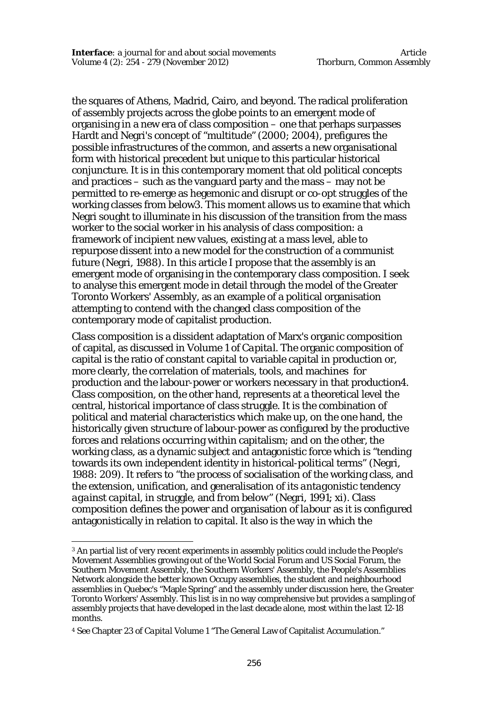the squares of Athens, Madrid, Cairo, and beyond. The radical proliferation of assembly projects across the globe points to an emergent mode of organising in a new era of class composition – one that perhaps surpasses Hardt and Negri's concept of "multitude" (2000; 2004), prefigures the possible infrastructures of the common, and asserts a new organisational form with historical precedent but unique to this particular historical conjuncture. It is in this contemporary moment that old political concepts and practices – such as the vanguard party and the mass – may not be permitted to re-emerge as hegemonic and disrupt or co-opt struggles of the working classes from below3. This moment allows us to examine that which Negri sought to illuminate in his discussion of the transition from the mass worker to the social worker in his analysis of class composition: a framework of incipient new values, existing at a mass level, able to repurpose dissent into a new model for the construction of a communist future (Negri, 1988). In this article I propose that the assembly is an emergent mode of organising in the contemporary class composition. I seek to analyse this emergent mode in detail through the model of the Greater Toronto Workers' Assembly, as an example of a political organisation attempting to contend with the changed class composition of the contemporary mode of capitalist production.

Class composition is a dissident adaptation of Marx's organic composition of capital, as discussed in Volume 1 of *Capital*. The organic composition of capital is the ratio of constant capital to variable capital in production or, more clearly, the correlation of materials, tools, and machines for production and the labour-power or workers necessary in that production4. Class composition, on the other hand, represents at a theoretical level the central, historical importance of class struggle. It is the combination of political and material characteristics which make up, on the one hand, the historically given structure of labour-power as configured by the productive forces and relations occurring within capitalism; and on the other, the working class, as a dynamic subject and antagonistic force which is "tending towards its own independent identity in historical-political terms" (Negri, 1988: 209). It refers to "the process of socialisation of the working class, and the extension, unification, and generalisation of its *antagonistic tendency against capital*, in struggle, and *from below*" (Negri, 1991; xi). Class composition defines the power and organisation of *labour* as it is configured antagonistically in relation to capital. It also is the way in which the

 $\overline{a}$ <sup>3</sup> An partial list of very recent experiments in assembly politics could include the People's Movement Assemblies growing out of the World Social Forum and US Social Forum, the Southern Movement Assembly, the Southern Workers' Assembly, the People's Assemblies Network alongside the better known Occupy assemblies, the student and neighbourhood assemblies in Quebec's "Maple Spring" and the assembly under discussion here, the Greater Toronto Workers' Assembly. This list is in no way comprehensive but provides a sampling of assembly projects that have developed in the last decade alone, most within the last 12-18 months.

<sup>4</sup> See Chapter 23 of *Capital Volume 1* "The General Law of Capitalist Accumulation."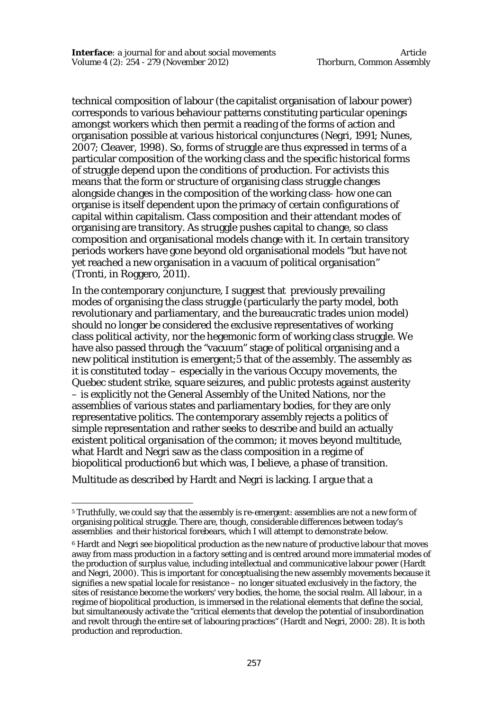technical composition of labour (the capitalist organisation of labour power) corresponds to various behaviour patterns constituting particular openings amongst workers which then permit a reading of the forms of action and organisation possible at various historical conjunctures (Negri, 1991; Nunes, 2007; Cleaver, 1998). So, forms of struggle are thus expressed in terms of a particular composition of the working class and the specific historical forms of struggle depend upon the conditions of production. For activists this means that the form or structure of organising class struggle changes alongside changes in the composition of the working class- how one can organise is itself dependent upon the primacy of certain configurations of capital within capitalism. Class composition and their attendant modes of organising are transitory. As struggle pushes capital to change, so class composition and organisational models change with it. In certain transitory periods workers have gone beyond old organisational models "but have not yet reached a new organisation in a vacuum of political organisation" (Tronti, in Roggero, 2011).

In the contemporary conjuncture, I suggest that previously prevailing modes of organising the class struggle (particularly the party model, both revolutionary and parliamentary, and the bureaucratic trades union model) should no longer be considered the exclusive representatives of working class political activity, nor the hegemonic form of working class struggle. We have also passed through the "vacuum" stage of political organising and a new political institution is emergent;5 that of the assembly. The assembly as it is constituted today – especially in the various Occupy movements, the Quebec student strike, square seizures, and public protests against austerity – is explicitly *not* the General Assembly of the United Nations, nor the assemblies of various states and parliamentary bodies, for they are only representative politics. The contemporary assembly rejects a politics of simple representation and rather seeks to describe and build an actually existent political organisation of the common; it moves beyond multitude, what Hardt and Negri saw as the class composition in a regime of biopolitical production6 but which was, I believe, a phase of transition.

Multitude as described by Hardt and Negri is lacking. I argue that a

 $\overline{a}$ <sup>5</sup> Truthfully, we could say that the assembly is *re*-emergent: assemblies are not a new form of organising political struggle. There are, though, considerable differences between today's assemblies and their historical forebears, which I will attempt to demonstrate below.

<sup>6</sup> Hardt and Negri see biopolitical production as the new nature of productive labour that moves away from mass production in a factory setting and is centred around more immaterial modes of the production of surplus value, including intellectual and communicative labour power (Hardt and Negri, 2000). This is important for conceptualising the new assembly movements because it signifies a new spatial locale for resistance – no longer situated exclusively in the factory, the sites of resistance become the workers' very bodies, the home, the social realm. All labour, in a regime of biopolitical production, is immersed in the relational elements that define the social, but simultaneously activate the "critical elements that develop the potential of insubordination and revolt through the entire set of labouring practices" (Hardt and Negri, 2000: 28). It is both production and reproduction.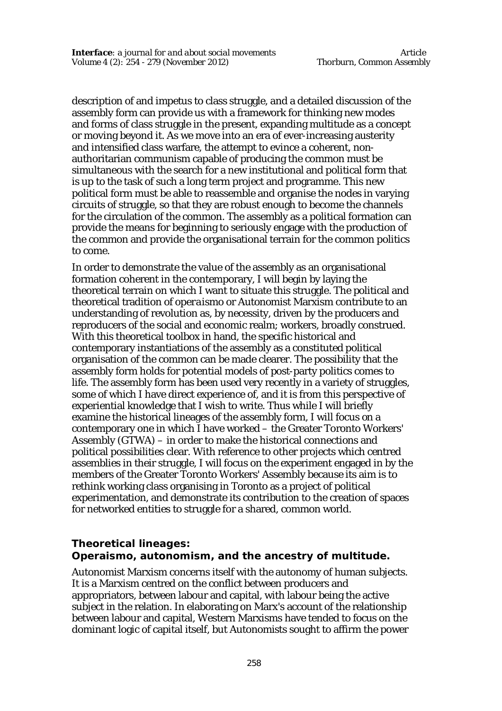description of and impetus to class struggle, and a detailed discussion of the assembly form can provide us with a framework for thinking new modes and forms of class struggle in the present, expanding multitude as a concept or moving beyond it. As we move into an era of ever-increasing austerity and intensified class warfare, the attempt to evince a coherent, nonauthoritarian communism capable of producing the common must be simultaneous with the search for a new institutional and political form that is up to the task of such a long term project and programme. This new political form must be able to reassemble and organise the nodes in varying circuits of struggle, so that they are robust enough to become the channels for the circulation of the common. The assembly as a political formation can provide the means for beginning to seriously engage with the production of the common and provide the organisational terrain for the common politics to come.

In order to demonstrate the value of the assembly as an organisational formation coherent in the contemporary, I will begin by laying the theoretical terrain on which I want to situate this struggle. The political and theoretical tradition of *operaismo* or Autonomist Marxism contribute to an understanding of revolution as, by necessity, driven by the producers and reproducers of the social and economic realm; workers, broadly construed. With this theoretical toolbox in hand, the specific historical and contemporary instantiations of the assembly as a constituted political organisation of the common can be made clearer. The possibility that the assembly form holds for potential models of post-party politics comes to life. The assembly form has been used very recently in a variety of struggles, some of which I have direct experience of, and it is from this perspective of experiential knowledge that I wish to write. Thus while I will briefly examine the historical lineages of the assembly form, I will focus on a contemporary one in which I have worked – the Greater Toronto Workers' Assembly (GTWA) – in order to make the historical connections and political possibilities clear. With reference to other projects which centred assemblies in their struggle, I will focus on the experiment engaged in by the members of the Greater Toronto Workers' Assembly because its aim is to rethink working class organising in Toronto as a project of political experimentation, and demonstrate its contribution to the creation of spaces for networked entities to struggle for a shared, common world.

# **Theoretical lineages:**  *Operaismo,* **autonomism, and the ancestry of multitude.**

Autonomist Marxism concerns itself with the autonomy of human subjects. It is a Marxism centred on the conflict between producers and appropriators, between labour and capital, with labour being the active subject in the relation. In elaborating on Marx's account of the relationship between labour and capital, Western Marxisms have tended to focus on the dominant logic of capital itself, but Autonomists sought to affirm the power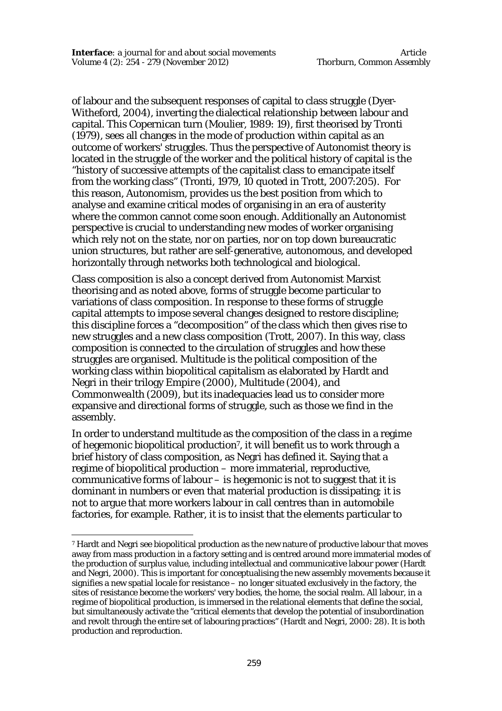of labour and the subsequent responses of capital to class struggle (Dyer-Witheford, 2004), inverting the dialectical relationship between labour and capital. This Copernican turn (Moulier, 1989: 19), first theorised by Tronti (1979), sees all changes in the mode of production within capital as an outcome of workers' struggles. Thus the perspective of Autonomist theory is located in the struggle of the worker and the political history of capital is the "history of successive attempts of the capitalist class to emancipate itself from the working class" (Tronti, 1979, 10 quoted in Trott, 2007:205). For this reason, Autonomism, provides us the best position from which to analyse and examine critical modes of organising in an era of austerity where the common cannot come soon enough. Additionally an Autonomist perspective is crucial to understanding new modes of worker organising which rely not on the state, nor on parties, nor on top down bureaucratic union structures, but rather are self-generative, autonomous, and developed horizontally through networks both technological and biological.

Class composition is also a concept derived from Autonomist Marxist theorising and as noted above, forms of struggle become particular to variations of class composition. In response to these forms of struggle capital attempts to impose several changes designed to restore discipline; this discipline forces a "decomposition" of the class which then gives rise to new struggles and a new class composition (Trott, 2007). In this way, class composition is connected to the circulation of struggles and how these struggles are organised. Multitude is the political composition of the working class within biopolitical capitalism as elaborated by Hardt and Negri in their trilogy *Empire* (2000)*, Multitude* (2004), and *Commonwealth* (2009)*,* but its inadequacies lead us to consider more expansive and directional forms of struggle, such as those we find in the assembly.

In order to understand multitude as the composition of the class in a regime of hegemonic biopolitical production<sup>7</sup> , it will benefit us to work through a brief history of class composition, as Negri has defined it. Saying that a regime of biopolitical production – more immaterial, reproductive, communicative forms of labour – is hegemonic is not to suggest that it is dominant in numbers or even that material production is dissipating; it is not to argue that more workers labour in call centres than in automobile factories, for example. Rather, it is to insist that the elements particular to

 $\overline{a}$ 

<sup>7</sup> Hardt and Negri see biopolitical production as the new nature of productive labour that moves away from mass production in a factory setting and is centred around more immaterial modes of the production of surplus value, including intellectual and communicative labour power (Hardt and Negri, 2000). This is important for conceptualising the new assembly movements because it signifies a new spatial locale for resistance – no longer situated exclusively in the factory, the sites of resistance become the workers' very bodies, the home, the social realm. All labour, in a regime of biopolitical production, is immersed in the relational elements that define the social, but simultaneously activate the "critical elements that develop the potential of insubordination and revolt through the entire set of labouring practices" (Hardt and Negri, 2000: 28). It is both production and reproduction.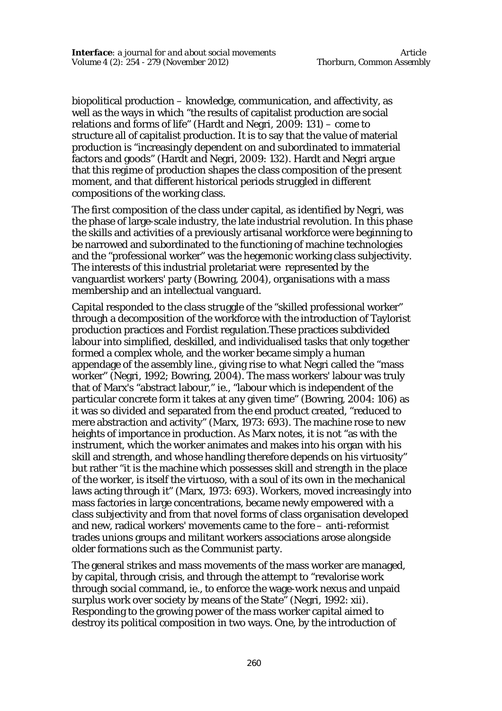biopolitical production – knowledge, communication, and affectivity, as well as the ways in which "the results of capitalist production are social relations and forms of life" (Hardt and Negri, 2009: 131) – come to structure all of capitalist production. It is to say that the value of material production is "increasingly dependent on and subordinated to immaterial factors and goods" (Hardt and Negri, 2009: 132). Hardt and Negri argue that this regime of production shapes the class composition of the present moment, and that different historical periods struggled in different compositions of the working class.

The first composition of the class under capital, as identified by Negri, was the phase of large-scale industry, the late industrial revolution. In this phase the skills and activities of a previously artisanal workforce were beginning to be narrowed and subordinated to the functioning of machine technologies and the "professional worker" was the hegemonic working class subjectivity. The interests of this industrial proletariat were represented by the vanguardist workers' party (Bowring, 2004), organisations with a mass membership and an intellectual vanguard.

Capital responded to the class struggle of the "skilled professional worker" through a decomposition of the workforce with the introduction of Taylorist production practices and Fordist regulation.These practices subdivided labour into simplified, deskilled, and individualised tasks that only together formed a complex whole, and the worker became simply a human appendage of the assembly line., giving rise to what Negri called the "mass worker" (Negri, 1992; Bowring, 2004). The mass workers' labour was truly that of Marx's "abstract labour," ie., "labour which is independent of the particular concrete form it takes at any given time" (Bowring, 2004: 106) as it was so divided and separated from the end product created, "reduced to mere abstraction and activity" (Marx, 1973: 693). The machine rose to new heights of importance in production. As Marx notes, it is not "as with the instrument, which the worker animates and makes into his organ with his skill and strength, and whose handling therefore depends on his virtuosity" but rather "it is the machine which possesses skill and strength in the place of the worker, is itself the virtuoso, with a soul of its own in the mechanical laws acting through it" (Marx, 1973: 693). Workers, moved increasingly into mass factories in large concentrations, became newly empowered with a class subjectivity and from that novel forms of class organisation developed and new, radical workers' movements came to the fore – anti-reformist trades unions groups and militant workers associations arose alongside older formations such as the Communist party.

The general strikes and mass movements of the mass worker are managed, by capital, through crisis, and through the attempt to "revalorise work through *social command,* ie., to enforce the wage-work nexus and unpaid surplus work over society by means of the State" (Negri, 1992: xii). Responding to the growing power of the mass worker capital aimed to destroy its political composition in two ways. One, by the introduction of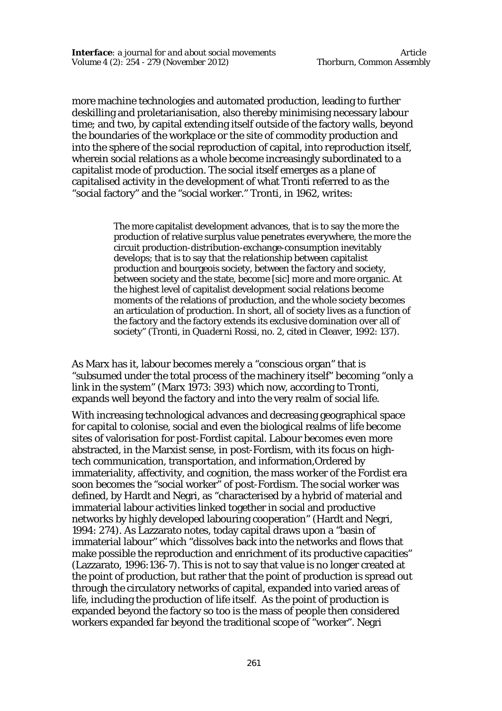more machine technologies and automated production, leading to further deskilling and proletarianisation, also thereby minimising necessary labour time; and two, by capital extending itself outside of the factory walls, beyond the boundaries of the workplace or the site of commodity production and into the sphere of the social reproduction of capital, into *reproduction itself,*  wherein social relations as a whole become increasingly subordinated to a capitalist mode of production*.* The social itself emerges as a plane of capitalised activity in the development of what Tronti referred to as the "social factory" and the "social worker." Tronti, in 1962, writes:

> The more capitalist development advances, that is to say the more the production of relative surplus value penetrates everywhere, the more the circuit production-distribution-exchange-consumption inevitably develops; that is to say that the relationship between capitalist production and bourgeois society, between the factory and society, between society and the state, become [sic] more and more organic. At the highest level of capitalist development social relations become moments of the relations of production, and the whole society becomes an articulation of production. In short, all of society lives as a function of the factory and the factory extends its exclusive domination over all of society" (Tronti, in *Quaderni Rossi*, no. 2, cited in Cleaver, 1992: 137).

As Marx has it, labour becomes merely a "conscious organ" that is "subsumed under the total process of the machinery itself" becoming "only a link in the system" (Marx 1973: 393) which now, according to Tronti, expands well beyond the factory and into the very realm of social life.

With increasing technological advances and decreasing geographical space for capital to colonise, social and even the biological realms of life become sites of valorisation for post-Fordist capital. Labour becomes even more abstracted, in the Marxist sense, in post-Fordism, with its focus on hightech communication, transportation, and information,Ordered by immateriality, affectivity, and cognition, the mass worker of the Fordist era soon becomes the "social worker" of post-Fordism. The social worker was defined, by Hardt and Negri, as "characterised by a hybrid of material and immaterial labour activities linked together in social and productive networks by highly developed labouring cooperation" (Hardt and Negri, 1994: 274). As Lazzarato notes, today capital draws upon a "basin of immaterial labour" which "dissolves back into the networks and flows that make possible the reproduction and enrichment of its productive capacities" (Lazzarato, 1996:136-7). This is not to say that value is no longer created at the point of production, but rather that the point of production is spread out through the circulatory networks of capital, expanded into varied areas of life, including the production of life itself. As the point of production is expanded beyond the factory so too is the mass of people then considered workers expanded far beyond the traditional scope of "worker". Negri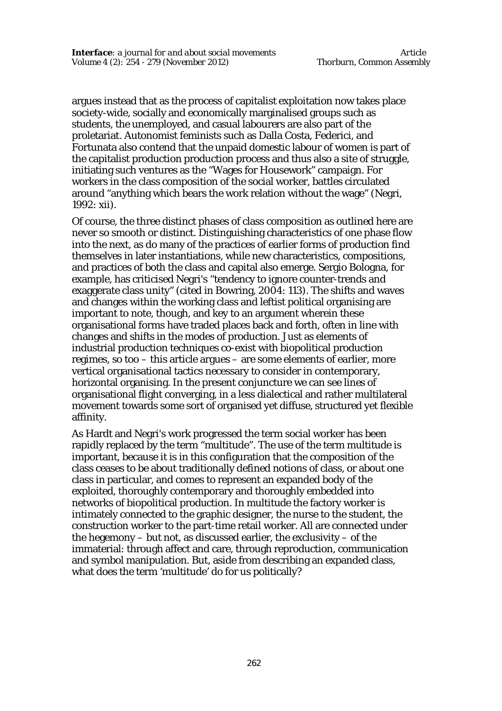argues instead that as the process of capitalist exploitation now takes place society-wide, socially and economically marginalised groups such as students, the unemployed, and casual labourers are also part of the proletariat. Autonomist feminists such as Dalla Costa, Federici, and Fortunata also contend that the unpaid domestic labour of women is part of the capitalist production production process and thus also a site of struggle, initiating such ventures as the "Wages for Housework" campaign. For workers in the class composition of the social worker, battles circulated around "anything which bears the work relation without the wage" (Negri, 1992: xii).

Of course, the three distinct phases of class composition as outlined here are never so smooth or distinct. Distinguishing characteristics of one phase flow into the next, as do many of the practices of earlier forms of production find themselves in later instantiations, while new characteristics, compositions, and practices of both the class and capital also emerge. Sergio Bologna, for example, has criticised Negri's "tendency to ignore counter-trends and exaggerate class unity" (cited in Bowring, 2004: 113). The shifts and waves and changes within the working class and leftist political organising are important to note, though, and key to an argument wherein these organisational forms have traded places back and forth, often in line with changes and shifts in the modes of production. Just as elements of industrial production techniques co-exist with biopolitical production regimes, so too – this article argues – are some elements of earlier, more vertical organisational tactics necessary to consider in contemporary, horizontal organising. In the present conjuncture we can see lines of organisational flight converging, in a less dialectical and rather multilateral movement towards some sort of organised yet diffuse, structured yet flexible affinity.

As Hardt and Negri's work progressed the term social worker has been rapidly replaced by the term "multitude". The use of the term multitude is important, because it is in this configuration that the composition of the class ceases to be about traditionally defined notions of class, or about one class in particular, and comes to represent an expanded body of the exploited, thoroughly contemporary and thoroughly embedded into networks of biopolitical production. In multitude the factory worker is intimately connected to the graphic designer, the nurse to the student, the construction worker to the part-time retail worker. All are connected under the hegemony – but not, as discussed earlier, the exclusivity – of the immaterial: through affect and care, through reproduction, communication and symbol manipulation. But, aside from describing an expanded class, what does the term 'multitude' do for us politically?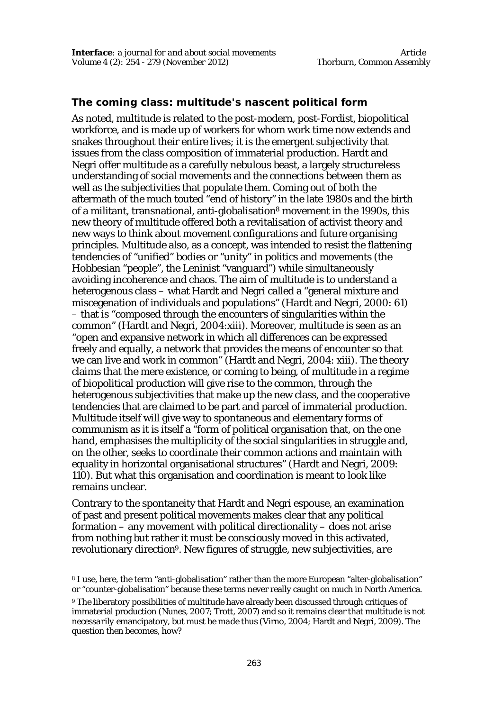# **The coming class: multitude's nascent political form**

As noted, multitude is related to the post-modern, post-Fordist, biopolitical workforce, and is made up of workers for whom work time now extends and snakes throughout their entire lives; it is the emergent subjectivity that issues from the class composition of immaterial production. Hardt and Negri offer multitude as a carefully nebulous beast, a largely structureless understanding of social movements and the connections between them as well as the subjectivities that populate them. Coming out of both the aftermath of the much touted "end of history" in the late 1980s and the birth of a militant, transnational, anti-globalisation<sup>8</sup> movement in the 1990s, this new theory of multitude offered both a revitalisation of activist theory and new ways to think about movement configurations and future organising principles. Multitude also, as a concept, was intended to resist the flattening tendencies of "unified" bodies or "unity" in politics and movements (the Hobbesian "people", the Leninist "vanguard") while simultaneously avoiding incoherence and chaos. The aim of multitude is to understand a heterogenous class – what Hardt and Negri called a "general mixture and miscegenation of individuals and populations" (Hardt and Negri, 2000: 61) – that is "composed through the encounters of singularities within the common" (Hardt and Negri, 2004:xiii). Moreover, multitude is seen as an "open and expansive network in which all differences can be expressed freely and equally, a network that provides the means of encounter so that we can live and work in common" (Hardt and Negri, 2004: xiii). The theory claims that the mere existence, or coming to being, of multitude in a regime of biopolitical production will give rise to the common, through the heterogenous subjectivities that make up the new class, and the cooperative tendencies that are claimed to be part and parcel of immaterial production. Multitude itself will give way to spontaneous and elementary forms of communism as it is itself a "form of political organisation that, on the one hand, emphasises the multiplicity of the social singularities in struggle and, on the other, seeks to coordinate their common actions and maintain with equality in horizontal organisational structures" (Hardt and Negri, 2009: 110). But what this organisation and coordination is meant to look like remains unclear.

Contrary to the spontaneity that Hardt and Negri espouse, an examination of past and present political movements makes clear that any political formation – any movement with political directionality – does not arise from nothing but rather it must be consciously moved in this activated, revolutionary direction9. New figures of struggle, new subjectivities, *are*

 $\overline{a}$ <sup>8</sup> I use, here, the term "anti-globalisation" rather than the more European "alter-globalisation" or "counter-globalisation" because these terms never really caught on much in North America.

<sup>9</sup> The liberatory possibilities of multitude have already been discussed through critiques of immaterial production (Nunes, 2007; Trott, 2007) and so it remains clear that multitude is not *necessarily* emancipatory, but must be *made* thus (Virno, 2004; Hardt and Negri, 2009). The question then becomes, how?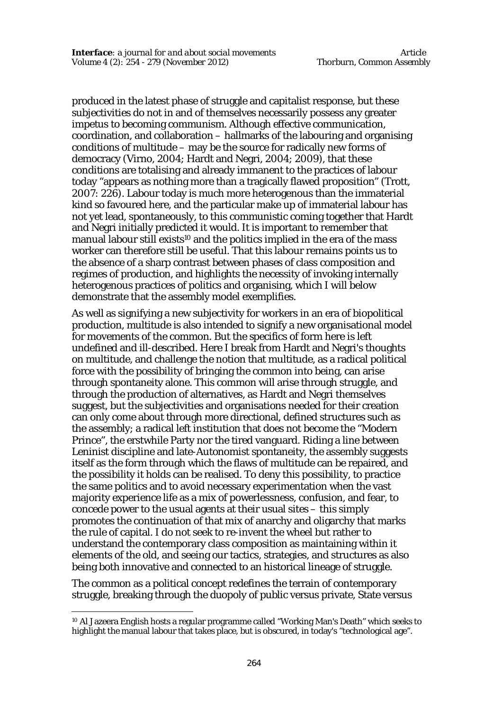produced in the latest phase of struggle and capitalist response, but these subjectivities do not in and of themselves necessarily possess any greater impetus to becoming communism. Although effective communication, coordination, and collaboration – hallmarks of the labouring and organising conditions of multitude – may be the source for radically new forms of democracy (Virno, 2004; Hardt and Negri, 2004; 2009), that these conditions are totalising and already immanent to the practices of labour today "appears as nothing more than a tragically flawed proposition" (Trott, 2007: 226). Labour today is much more heterogenous than the immaterial kind so favoured here, and the particular make up of immaterial labour has not yet lead, spontaneously, to this communistic coming together that Hardt and Negri initially predicted it would. It is important to remember that manual labour still exists<sup>10</sup> and the politics implied in the era of the mass worker can therefore still be useful. That this labour remains points us to the absence of a sharp contrast between phases of class composition and regimes of production, and highlights the necessity of invoking internally heterogenous practices of politics and organising, which I will below demonstrate that the assembly model exemplifies.

As well as signifying a new subjectivity for workers in an era of biopolitical production, multitude is also intended to signify a new organisational model for movements of the common. But the specifics of form here is left undefined and ill-described. Here I break from Hardt and Negri's thoughts on multitude, and challenge the notion that multitude, as a radical political force with the possibility of bringing the common into being, can arise through spontaneity alone. This common will arise through struggle, and through the production of alternatives, as Hardt and Negri themselves suggest, but the subjectivities and organisations needed for their creation can only come about through more directional, defined structures such as the assembly; a radical left institution that does not become the "Modern Prince", the erstwhile Party nor the tired vanguard. Riding a line between Leninist discipline and late-Autonomist spontaneity, the assembly suggests itself as the form through which the flaws of multitude can be repaired, and the possibility it holds can be realised. To deny this possibility, to practice the same politics and to avoid necessary experimentation when the vast majority experience life as a mix of powerlessness, confusion, and fear, to concede power to the usual agents at their usual sites – this simply promotes the continuation of that mix of anarchy and oligarchy that marks the rule of capital. I do not seek to re-invent the wheel but rather to understand the contemporary class composition as maintaining within it elements of the old, and seeing our tactics, strategies, and structures as also being both innovative and connected to an historical lineage of struggle.

The common as a political concept redefines the terrain of contemporary struggle, breaking through the duopoly of public versus private, State versus

 $\overline{a}$ <sup>10</sup> Al Jazeera English hosts a regular programme called "Working Man's Death" which seeks to highlight the manual labour that takes place, but is obscured, in today's "technological age".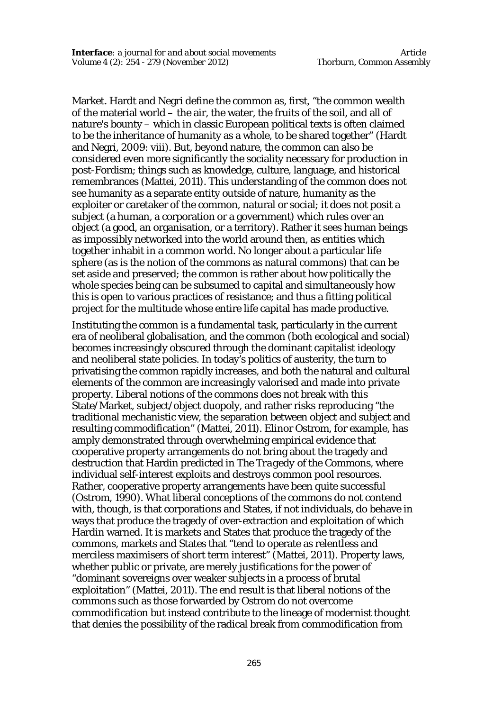Market. Hardt and Negri define the common as, first, "the common wealth of the material world – the air, the water, the fruits of the soil, and all of nature's bounty – which in classic European political texts is often claimed to be the inheritance of humanity as a whole, to be shared together" (Hardt and Negri, 2009: viii). But, beyond nature, the common can also be considered even more significantly the sociality necessary for production in post-Fordism; things such as knowledge, culture, language, and historical remembrances (Mattei, 2011). This understanding of the common does not see humanity as a separate entity outside of nature, humanity as the exploiter or caretaker of the common, natural or social; it does not posit a subject (a human, a corporation or a government) which rules over an object (a good, an organisation, or a territory). Rather it sees human beings as impossibly networked into the world around then, as entities which together inhabit in a common world. No longer about a particular life sphere (as is the notion of the commons as natural commons) that can be set aside and preserved; the common is rather about how politically the whole species being can be subsumed to capital and simultaneously how this is open to various practices of resistance; and thus a fitting political project for the multitude whose entire life capital has made productive.

Instituting the common is a fundamental task, particularly in the current era of neoliberal globalisation, and the common (both ecological and social) becomes increasingly obscured through the dominant capitalist ideology and neoliberal state policies. In today's politics of austerity, the turn to privatising the common rapidly increases, and both the natural and cultural elements of the common are increasingly valorised and made into private property. Liberal notions of the commons does not break with this State/Market, subject/object duopoly, and rather risks reproducing "the traditional mechanistic view, the separation between object and subject and resulting commodification" (Mattei, 2011). Elinor Ostrom, for example, has amply demonstrated through overwhelming empirical evidence that cooperative property arrangements do not bring about the tragedy and destruction that Hardin predicted in *The Tragedy of the Commons,* where individual self-interest exploits and destroys common pool resources. Rather, cooperative property arrangements have been quite successful (Ostrom, 1990). What liberal conceptions of the commons do not contend with, though, is that corporations and States, if not individuals, *do* behave in ways that produce the tragedy of over-extraction and exploitation of which Hardin warned. It is markets and States that produce the tragedy of the commons, markets and States that "tend to operate as relentless and merciless maximisers of short term interest" (Mattei, 2011). Property laws, whether public or private, are merely justifications for the power of "dominant sovereigns over weaker subjects in a process of brutal exploitation" (Mattei, 2011). The end result is that liberal notions of the commons such as those forwarded by Ostrom do not overcome commodification but instead contribute to the lineage of modernist thought that denies the possibility of the radical break from commodification from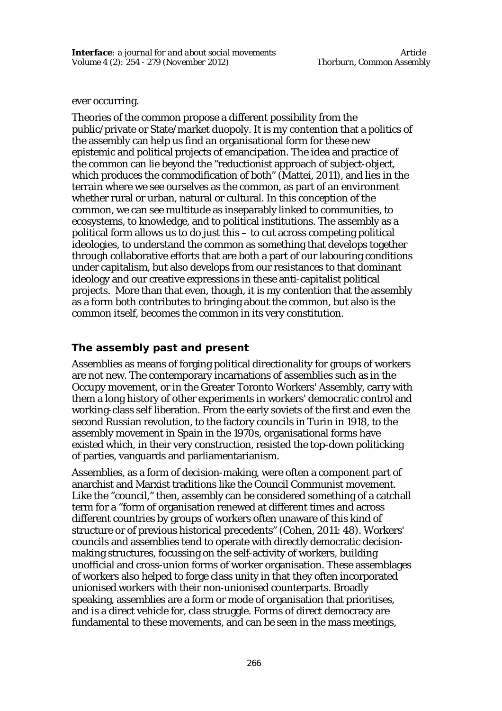#### ever occurring.

Theories of the common propose a different possibility from the public/private or State/market duopoly. It is my contention that a politics of the assembly can help us find an organisational form for these new epistemic and political projects of emancipation. The idea and practice of the common can lie beyond the "reductionist approach of subject-object, which produces the commodification of both" (Mattei, 2011), and lies in the terrain where we see ourselves as the common, as part of an environment whether rural or urban, natural or cultural. In this conception of the common, we can see multitude as inseparably linked to communities, to ecosystems, to knowledge, and to political institutions. The assembly as a political form allows us to do just this – to cut across competing political ideologies, to understand the common as something that develops together through collaborative efforts that are both a part of our labouring conditions under capitalism, but also develops from our resistances to that dominant ideology and our creative expressions in these anti-capitalist political projects. More than that even, though, it is my contention that the assembly as a form both contributes to bringing about the common, but also *is* the common itself, becomes the common in its very constitution.

### **The assembly past and present**

Assemblies as means of forging political directionality for groups of workers are not new. The contemporary incarnations of assemblies such as in the Occupy movement, or in the Greater Toronto Workers' Assembly, carry with them a long history of other experiments in workers' democratic control and working-class self liberation. From the early soviets of the first and even the second Russian revolution, to the factory councils in Turin in 1918, to the assembly movement in Spain in the 1970s, organisational forms have existed which, in their very construction, resisted the top-down politicking of parties, vanguards and parliamentarianism.

Assemblies, as a form of decision-making, were often a component part of anarchist and Marxist traditions like the Council Communist movement. Like the "council," then, assembly can be considered something of a catchall term for a "form of organisation renewed at different times and across different countries by groups of workers often unaware of this kind of structure or of previous historical precedents" (Cohen, 2011: 48). Workers' councils and assemblies tend to operate with directly democratic decisionmaking structures, focussing on the self-activity of workers, building unofficial and cross-union forms of worker organisation. These assemblages of workers also helped to forge class unity in that they often incorporated unionised workers with their non-unionised counterparts. Broadly speaking, assemblies are a form or mode of organisation that prioritises, and is a direct vehicle for, class struggle. Forms of direct democracy are fundamental to these movements, and can be seen in the mass meetings,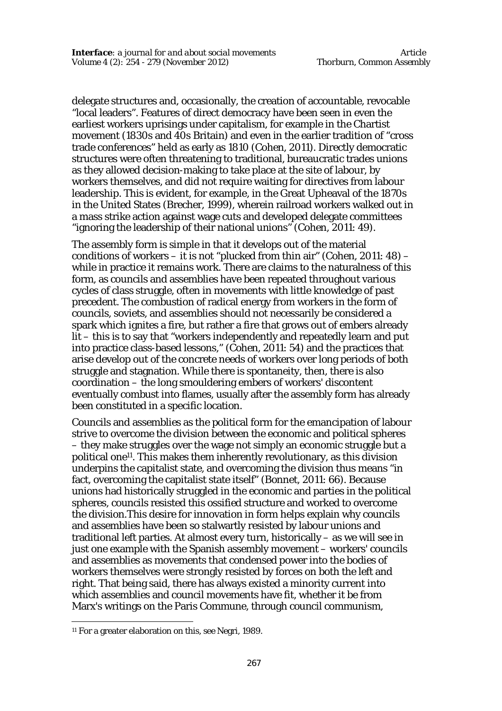delegate structures and, occasionally, the creation of accountable, revocable "local leaders". Features of direct democracy have been seen in even the earliest workers uprisings under capitalism, for example in the Chartist movement (1830s and 40s Britain) and even in the earlier tradition of "cross trade conferences" held as early as 1810 (Cohen, 2011). Directly democratic structures were often threatening to traditional, bureaucratic trades unions as they allowed decision-making to take place at the site of labour, by workers themselves, and did not require waiting for directives from labour leadership. This is evident, for example, in the Great Upheaval of the 1870s in the United States (Brecher, 1999), wherein railroad workers walked out in a mass strike action against wage cuts and developed delegate committees "ignoring the leadership of their national unions" (Cohen, 2011: 49).

The assembly form is simple in that it develops out of the material conditions of workers – it is not "plucked from thin air" (Cohen, 2011: 48) – while in practice it remains work. There are claims to the naturalness of this form, as councils and assemblies have been repeated throughout various cycles of class struggle, often in movements with little knowledge of past precedent. The combustion of radical energy from workers in the form of councils, soviets, and assemblies should not necessarily be considered a spark which ignites a fire, but rather a fire that grows out of embers already lit – this is to say that "workers independently and repeatedly learn and put into practice class-based lessons," (Cohen, 2011: 54) and the practices that arise develop out of the concrete needs of workers over long periods of both struggle and stagnation. While there is spontaneity, then, there is also coordination – the long smouldering embers of workers' discontent eventually combust into flames, usually after the assembly form has already been constituted in a specific location.

Councils and assemblies as the political form for the emancipation of labour strive to overcome the division between the economic and political spheres – they make struggles over the wage not simply an economic struggle but a political one11. This makes them inherently revolutionary, as this division underpins the capitalist state, and overcoming the division thus means "in fact, overcoming the capitalist state itself" (Bonnet, 2011: 66). Because unions had historically struggled in the economic and parties in the political spheres, councils resisted this ossified structure and worked to overcome the division.This desire for innovation in form helps explain why councils and assemblies have been so stalwartly resisted by labour unions and traditional left parties. At almost every turn, historically – as we will see in just one example with the Spanish assembly movement – workers' councils and assemblies as movements that condensed power into the bodies of workers themselves were strongly resisted by forces on both the left and right. That being said, there has always existed a minority current into which assemblies and council movements have fit, whether it be from Marx's writings on the Paris Commune, through council communism,

 $\overline{a}$ <sup>11</sup> For a greater elaboration on this, see Negri, 1989.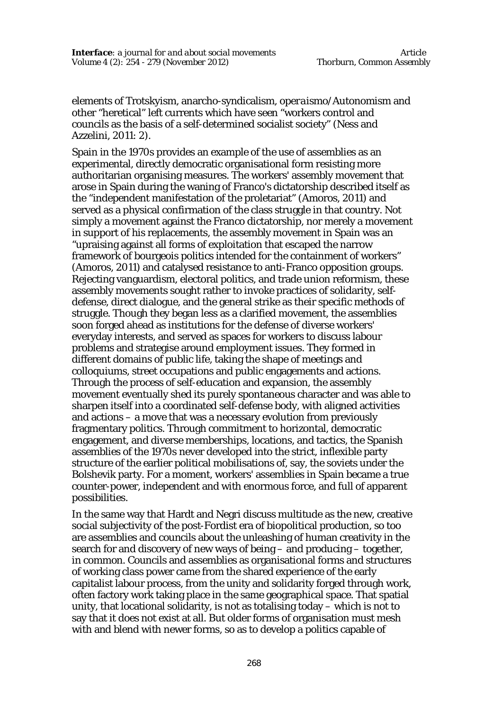elements of Trotskyism, anarcho-syndicalism, *operaismo*/Autonomism and other "heretical" left currents which have seen "workers control and councils as the basis of a self-determined socialist society" (Ness and Azzelini, 2011: 2).

Spain in the 1970s provides an example of the use of assemblies as an experimental, directly democratic organisational form resisting more authoritarian organising measures. The workers' assembly movement that arose in Spain during the waning of Franco's dictatorship described itself as the "independent manifestation of the proletariat" (Amoros, 2011) and served as a physical confirmation of the class struggle in that country. Not simply a movement against the Franco dictatorship, nor merely a movement in support of his replacements, the assembly movement in Spain was an "upraising against all forms of exploitation that escaped the narrow framework of bourgeois politics intended for the containment of workers" (Amoros, 2011) and catalysed resistance to anti-Franco opposition groups. Rejecting vanguardism, electoral politics, and trade union reformism, these assembly movements sought rather to invoke practices of solidarity, selfdefense, direct dialogue, and the general strike as their specific methods of struggle. Though they began less as a clarified movement, the assemblies soon forged ahead as institutions for the defense of diverse workers' everyday interests, and served as spaces for workers to discuss labour problems and strategise around employment issues. They formed in different domains of public life, taking the shape of meetings and colloquiums, street occupations and public engagements and actions. Through the process of self-education and expansion, the assembly movement eventually shed its purely spontaneous character and was able to sharpen itself into a coordinated self-defense body, with aligned activities and actions – a move that was a necessary evolution from previously fragmentary politics. Through commitment to horizontal, democratic engagement, and diverse memberships, locations, and tactics, the Spanish assemblies of the 1970s never developed into the strict, inflexible party structure of the earlier political mobilisations of, say, the soviets under the Bolshevik party. For a moment, workers' assemblies in Spain became a true counter-power, independent and with enormous force, and full of apparent possibilities.

In the same way that Hardt and Negri discuss multitude as the new, creative social subjectivity of the post-Fordist era of biopolitical production, so too are assemblies and councils about the unleashing of human creativity in the search for and discovery of new ways of being – and producing – together, in common. Councils and assemblies as organisational forms and structures of working class power came from the shared experience of the early capitalist labour process, from the unity and solidarity forged through work, often factory work taking place in the same geographical space. That spatial unity, that locational solidarity, is not as totalising today – which is not to say that it does not exist at all. But older forms of organisation must mesh with and blend with newer forms, so as to develop a politics capable of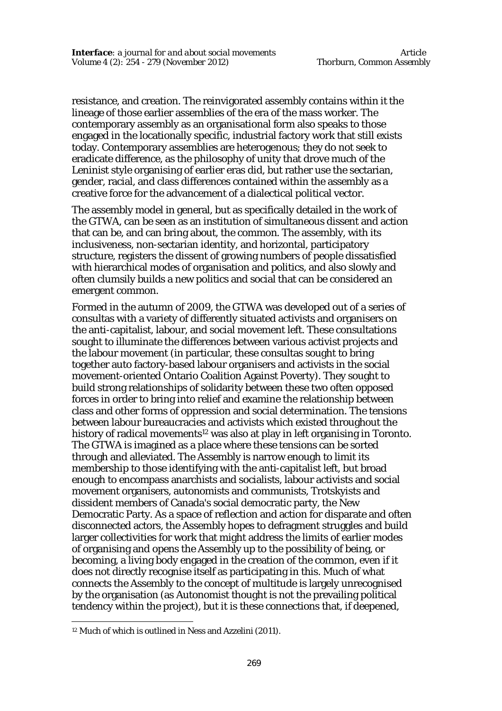resistance, and creation. The reinvigorated assembly contains within it the lineage of those earlier assemblies of the era of the mass worker. The contemporary assembly as an organisational form also speaks to those engaged in the locationally specific, industrial factory work that still exists today. Contemporary assemblies are heterogenous; they do not seek to eradicate difference, as the philosophy of unity that drove much of the Leninist style organising of earlier eras did, but rather use the sectarian, gender, racial, and class differences contained within the assembly as a creative force for the advancement of a dialectical political vector.

The assembly model in general, but as specifically detailed in the work of the GTWA, can be seen as an institution of simultaneous dissent and action that can be, and can bring about, the common. The assembly, with its inclusiveness, non-sectarian identity, and horizontal, participatory structure, registers the dissent of growing numbers of people dissatisfied with hierarchical modes of organisation and politics, and also slowly and often clumsily builds a new politics and social that can be considered an emergent common.

Formed in the autumn of 2009, the GTWA was developed out of a series of consultas with a variety of differently situated activists and organisers on the anti-capitalist, labour, and social movement left. These consultations sought to illuminate the differences between various activist projects and the labour movement (in particular, these consultas sought to bring together auto factory-based labour organisers and activists in the social movement-oriented Ontario Coalition Against Poverty). They sought to build strong relationships of solidarity between these two often opposed forces in order to bring into relief and examine the relationship between class and other forms of oppression and social determination. The tensions between labour bureaucracies and activists which existed throughout the history of radical movements<sup>12</sup> was also at play in left organising in Toronto. The GTWA is imagined as a place where these tensions can be sorted through and alleviated. The Assembly is narrow enough to limit its membership to those identifying with the anti-capitalist left, but broad enough to encompass anarchists and socialists, labour activists and social movement organisers, autonomists and communists, Trotskyists and dissident members of Canada's social democratic party, the New Democratic Party. As a space of reflection and action for disparate and often disconnected actors, the Assembly hopes to defragment struggles and build larger collectivities for work that might address the limits of earlier modes of organising and opens the Assembly up to the possibility of being, or becoming, a living body engaged in the creation of the common, even if it does not directly recognise itself as participating in this. Much of what connects the Assembly to the concept of multitude is largely unrecognised by the organisation (as Autonomist thought is not the prevailing political tendency within the project), but it is these connections that, if deepened,

 $\overline{a}$ <sup>12</sup> Much of which is outlined in Ness and Azzelini (2011)*.*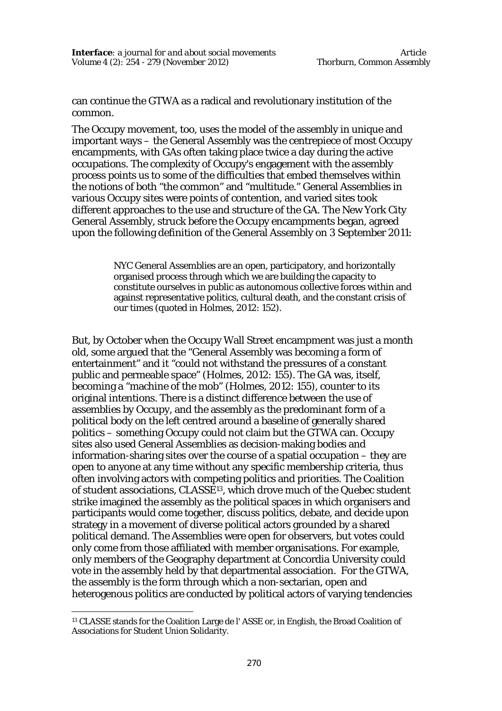can continue the GTWA as a radical and revolutionary institution of the common.

The Occupy movement, too, uses the model of the assembly in unique and important ways – the General Assembly was the centrepiece of most Occupy encampments, with GAs often taking place twice a day during the active occupations. The complexity of Occupy's engagement with the assembly process points us to some of the difficulties that embed themselves within the notions of both "the common" and "multitude." General Assemblies in various Occupy sites were points of contention, and varied sites took different approaches to the use and structure of the GA. The New York City General Assembly, struck before the Occupy encampments began, agreed upon the following definition of the General Assembly on 3 September 2011:

> NYC General Assemblies are an open, participatory, and horizontally organised process through which we are building the capacity to constitute ourselves in public as autonomous collective forces within and against representative politics, cultural death, and the constant crisis of our times (quoted in Holmes, 2012: 152).

But, by October when the Occupy Wall Street encampment was just a month old, some argued that the "General Assembly was becoming a form of entertainment" and it "could not withstand the pressures of a constant public and permeable space" (Holmes, 2012: 155). The GA was, itself, becoming a "machine of the mob" (Holmes, 2012: 155), counter to its original intentions. There is a distinct difference between the *use* of assemblies by Occupy, and the assembly *as* the predominant form of a political body on the left centred around a baseline of generally shared politics – something Occupy could not claim but the GTWA can. Occupy sites also used General Assemblies as decision-making bodies and information-sharing sites over the course of a spatial occupation – they are open to anyone at any time without any specific membership criteria, thus often involving actors with competing politics and priorities. The Coalition of student associations, *CLASSE13*, which drove much of the Quebec student strike imagined the assembly as the political spaces in which organisers and participants would come together, discuss politics, debate, and decide upon strategy in a movement of diverse political actors grounded by a shared political demand. The Assemblies were open for observers, but votes could only come from those affiliated with member organisations. For example, only members of the Geography department at Concordia University could vote in the assembly held by that departmental association. For the GTWA, the assembly is the form through which a non-sectarian, open and heterogenous politics are conducted by political actors of varying tendencies

 $\overline{a}$ <sup>13</sup> CLASSE stands for the Coalition Large de l' ASSE or, in English, the Broad Coalition of Associations for Student Union Solidarity.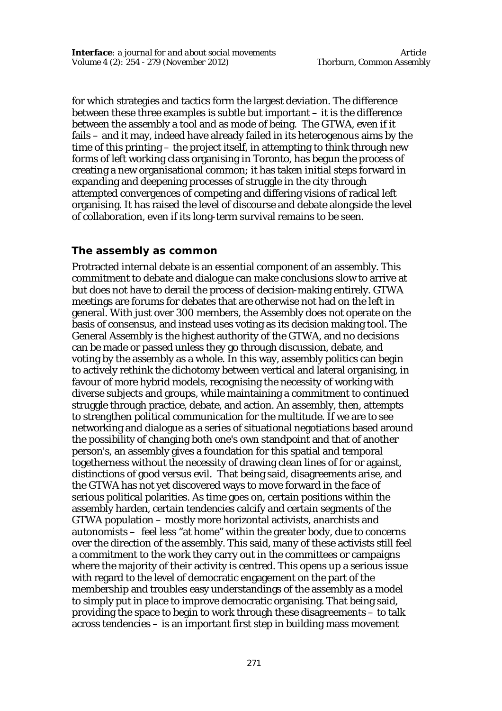for which strategies and tactics form the largest deviation. The difference between these three examples is subtle but important – it is the difference between the assembly a tool and as mode of being. The GTWA, even if it fails – and it may, indeed have already failed in its heterogenous aims by the time of this printing – the project itself, in attempting to think through *new* forms of left working class organising in Toronto, has begun the process of creating a new organisational common; it has taken initial steps forward in expanding and deepening processes of struggle in the city through attempted convergences of competing and differing visions of radical left organising. It has raised the level of discourse and debate alongside the level of collaboration, even if its long-term survival remains to be seen.

# **The assembly as common**

Protracted internal debate is an essential component of an assembly. This commitment to debate and dialogue can make conclusions slow to arrive at but does not have to derail the process of decision-making entirely. GTWA meetings are forums for debates that are otherwise not had on the left in general. With just over 300 members, the Assembly does not operate on the basis of consensus, and instead uses voting as its decision making tool. The General Assembly is the highest authority of the GTWA, and no decisions can be made or passed unless they go through discussion, debate, and voting by the assembly as a whole. In this way, assembly politics can begin to actively rethink the dichotomy between vertical and lateral organising, in favour of more hybrid models, recognising the necessity of working with diverse subjects and groups, while maintaining a commitment to continued struggle through practice, debate, and action. An assembly, then, attempts to strengthen political communication for the multitude. If we are to see networking and dialogue as a series of situational negotiations based around the possibility of changing both one's own standpoint and that of another person's, an assembly gives a foundation for this spatial and temporal togetherness without the necessity of drawing clean lines of for or against, distinctions of good versus evil. That being said, disagreements arise, and the GTWA has not yet discovered ways to move forward in the face of serious political polarities. As time goes on, certain positions within the assembly harden, certain tendencies calcify and certain segments of the GTWA population – mostly more horizontal activists, anarchists and autonomists – feel less "at home" within the greater body, due to concerns over the direction of the assembly. This said, many of these activists still feel a commitment to the work they carry out in the committees or campaigns where the majority of their activity is centred. This opens up a serious issue with regard to the level of democratic engagement on the part of the membership and troubles easy understandings of the assembly as a model to simply put in place to improve democratic organising. That being said, providing the space to begin to work through these disagreements – to talk across tendencies – is an important first step in building mass movement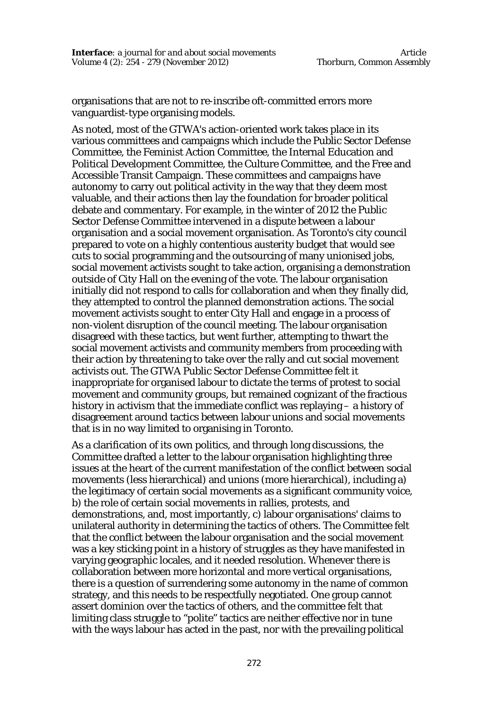organisations that are not to re-inscribe oft-committed errors more vanguardist-type organising models.

As noted, most of the GTWA's action-oriented work takes place in its various committees and campaigns which include the Public Sector Defense Committee, the Feminist Action Committee, the Internal Education and Political Development Committee, the Culture Committee, and the Free and Accessible Transit Campaign. These committees and campaigns have autonomy to carry out political activity in the way that they deem most valuable, and their actions then lay the foundation for broader political debate and commentary. For example, in the winter of 2012 the Public Sector Defense Committee intervened in a dispute between a labour organisation and a social movement organisation. As Toronto's city council prepared to vote on a highly contentious austerity budget that would see cuts to social programming and the outsourcing of many unionised jobs, social movement activists sought to take action, organising a demonstration outside of City Hall on the evening of the vote. The labour organisation initially did not respond to calls for collaboration and when they finally did, they attempted to control the planned demonstration actions. The social movement activists sought to enter City Hall and engage in a process of non-violent disruption of the council meeting. The labour organisation disagreed with these tactics, but went further, attempting to thwart the social movement activists and community members from proceeding with their action by threatening to take over the rally and cut social movement activists out. The GTWA Public Sector Defense Committee felt it inappropriate for organised labour to dictate the terms of protest to social movement and community groups, but remained cognizant of the fractious history in activism that the immediate conflict was replaying – a history of disagreement around tactics between labour unions and social movements that is in no way limited to organising in Toronto.

As a clarification of its own politics, and through long discussions, the Committee drafted a letter to the labour organisation highlighting three issues at the heart of the current manifestation of the conflict between social movements (less hierarchical) and unions (more hierarchical), including a) the legitimacy of certain social movements as a significant community voice, b) the role of certain social movements in rallies, protests, and demonstrations, and, most importantly, c) labour organisations' claims to unilateral authority in determining the tactics of others. The Committee felt that the conflict between the labour organisation and the social movement was a key sticking point in a history of struggles as they have manifested in varying geographic locales, and it needed resolution. Whenever there is collaboration between more horizontal and more vertical organisations, there is a question of surrendering some autonomy in the name of common strategy, and this needs to be respectfully negotiated. One group cannot assert dominion over the tactics of others, and the committee felt that limiting class struggle to "polite" tactics are neither effective nor in tune with the ways labour has acted in the past, nor with the prevailing political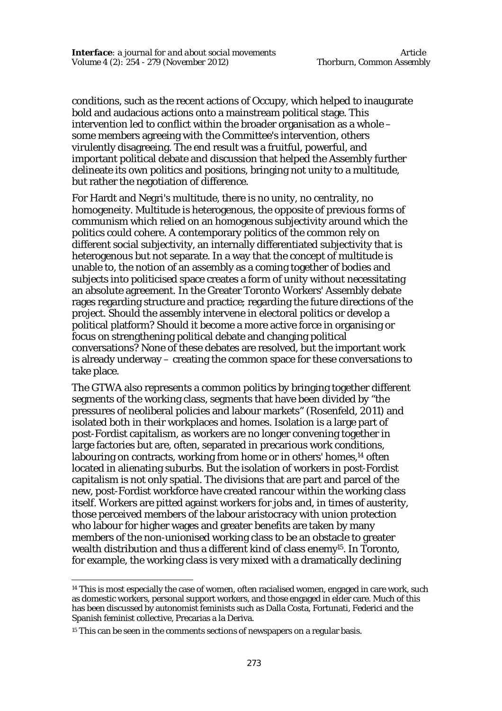conditions, such as the recent actions of Occupy, which helped to inaugurate bold and audacious actions onto a mainstream political stage. This intervention led to conflict within the broader organisation as a whole – some members agreeing with the Committee's intervention, others virulently disagreeing. The end result was a fruitful, powerful, and important political debate and discussion that helped the Assembly further delineate its own politics and positions, bringing not unity to a multitude, but rather the negotiation of difference.

For Hardt and Negri's multitude, there is no unity, no centrality, no homogeneity. Multitude is heterogenous, the opposite of previous forms of communism which relied on an homogenous subjectivity around which the politics could cohere. A contemporary politics of the common rely on different social subjectivity, an internally differentiated subjectivity that is heterogenous but not separate. In a way that the concept of multitude is unable to, the notion of an assembly as a coming together of bodies and subjects into politicised space creates a *form* of unity without necessitating an absolute agreement. In the Greater Toronto Workers' Assembly debate rages regarding structure and practice; regarding the future directions of the project. Should the assembly intervene in electoral politics or develop a political platform? Should it become a more active force in organising or focus on strengthening political debate and changing political conversations? None of these debates are resolved, but the important work is already underway – creating the common space for these conversations to take place.

The GTWA also represents a common politics by bringing together different segments of the working class, segments that have been divided by "the pressures of neoliberal policies and labour markets" (Rosenfeld, 2011) and isolated both in their workplaces and homes. Isolation is a large part of post-Fordist capitalism, as workers are no longer convening together in large factories but are, often, separated in precarious work conditions, labouring on contracts, working from home or in others' homes,<sup>14</sup> often located in alienating suburbs. But the isolation of workers in post-Fordist capitalism is not only spatial. The divisions that are part and parcel of the new, post-Fordist workforce have created rancour within the working class itself. Workers are pitted against workers for jobs and, in times of austerity, those perceived members of the labour aristocracy with union protection who labour for higher wages and greater benefits are taken by many members of the non-unionised working class to be an obstacle to greater wealth distribution and thus a different kind of class enemy<sup>15</sup>. In Toronto, for example, the working class is very mixed with a dramatically declining

 $\overline{a}$ 

<sup>&</sup>lt;sup>14</sup> This is most especially the case of women, often racialised women, engaged in care work, such as domestic workers, personal support workers, and those engaged in elder care. Much of this has been discussed by autonomist feminists such as Dalla Costa, Fortunati, Federici and the Spanish feminist collective, Precarias a la Deriva.

 $15$  This can be seen in the comments sections of newspapers on a regular basis.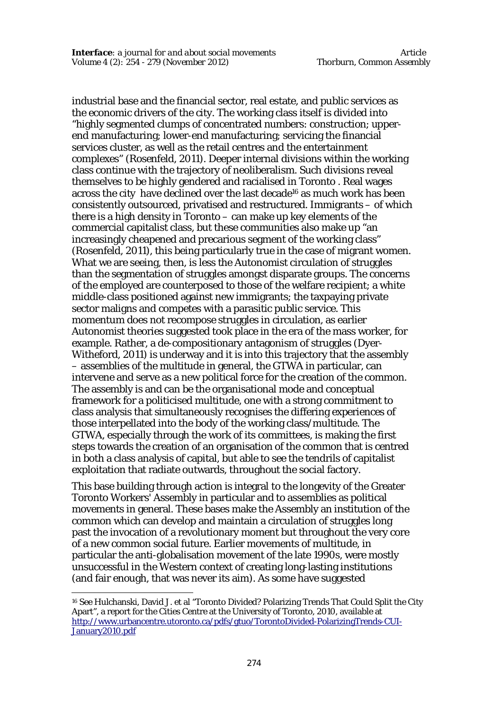industrial base and the financial sector, real estate, and public services as the economic drivers of the city. The working class itself is divided into "highly segmented clumps of concentrated numbers: construction; upperend manufacturing; lower-end manufacturing; servicing the financial services cluster, as well as the retail centres and the entertainment complexes" (Rosenfeld, 2011). Deeper internal divisions within the working class continue with the trajectory of neoliberalism. Such divisions reveal themselves to be highly gendered and racialised in Toronto . Real wages across the city have declined over the last decade<sup>16</sup> as much work has been consistently outsourced, privatised and restructured. Immigrants – of which there is a high density in Toronto – can make up key elements of the commercial capitalist class, but these communities also make up "an increasingly cheapened and precarious segment of the working class" (Rosenfeld, 2011), this being particularly true in the case of migrant women. What we are seeing, then, is less the Autonomist circulation of struggles than the segmentation of struggles amongst disparate groups. The concerns of the employed are counterposed to those of the welfare recipient; a white middle-class positioned against new immigrants; the taxpaying private sector maligns and competes with a parasitic public service. This momentum does not recompose struggles in circulation, as earlier Autonomist theories suggested took place in the era of the mass worker, for example. Rather, a de-compositionary antagonism of struggles (Dyer-Witheford, 2011) is underway and it is into this trajectory that the assembly – assemblies of the multitude in general, the GTWA in particular, can intervene and serve as a new political force for the creation of the common. The assembly is and can be the organisational mode and conceptual framework for a politicised multitude, one with a strong commitment to class analysis that simultaneously recognises the differing experiences of those interpellated into the body of the working class/multitude. The GTWA, especially through the work of its committees, is making the first steps towards the creation of an organisation of the common that is centred in both a class analysis of capital, but able to see the tendrils of capitalist exploitation that radiate outwards, throughout the social factory.

This base building through action is integral to the longevity of the Greater Toronto Workers' Assembly in particular and to assemblies as political movements in general. These bases make the Assembly an institution of the common which can develop and maintain a circulation of struggles long past the invocation of a revolutionary moment but throughout the very core of a new common social future. Earlier movements of multitude, in particular the anti-globalisation movement of the late 1990s, were mostly unsuccessful in the Western context of creating long-lasting institutions (and fair enough, that was never its aim). As some have suggested

 $\overline{a}$ 

<sup>16</sup> See Hulchanski, David J. et al "Toronto Divided? Polarizing Trends That Could Split the City Apart", a report for the Cities Centre at the University of Toronto, 2010, available at http://www.urbancentre.utoronto.ca/pdfs/gtuo/TorontoDivided-PolarizingTrends-CUI-January2010.pdf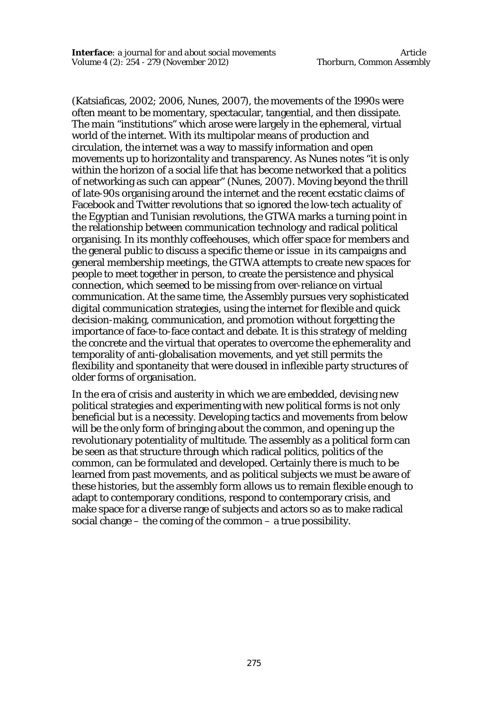(Katsiaficas, 2002; 2006, Nunes, 2007), the movements of the 1990s were often meant to be momentary, spectacular, tangential, and then dissipate. The main "institutions" which arose were largely in the ephemeral, virtual world of the internet. With its multipolar means of production and circulation, the internet was a way to massify information and open movements up to horizontality and transparency. As Nunes notes "it is only within the horizon of a social life that has become networked that a politics of networking as such can appear" (Nunes, 2007). Moving beyond the thrill of late-90s organising around the internet and the recent ecstatic claims of Facebook and Twitter revolutions that so ignored the low-tech actuality of the Egyptian and Tunisian revolutions, the GTWA marks a turning point in the relationship between communication technology and radical political organising. In its monthly coffeehouses, which offer space for members and the general public to discuss a specific theme or issue in its campaigns and general membership meetings, the GTWA attempts to create new spaces for people to meet together in person, to create the persistence and physical connection, which seemed to be missing from over-reliance on virtual communication. At the same time, the Assembly pursues very sophisticated digital communication strategies, using the internet for flexible and quick decision-making, communication, and promotion without forgetting the importance of face-to-face contact and debate. It is this strategy of melding the concrete and the virtual that operates to overcome the ephemerality and temporality of anti-globalisation movements, and yet still permits the flexibility and spontaneity that were doused in inflexible party structures of older forms of organisation.

In the era of crisis and austerity in which we are embedded, devising new political strategies and experimenting with new political forms is not only beneficial but is a necessity. Developing tactics and movements from below will be the only form of bringing about the common, and opening up the revolutionary potentiality of multitude. The assembly as a political form can be seen as that structure through which radical politics, politics of the common, can be formulated and developed. Certainly there is much to be learned from past movements, and as political subjects we must be aware of these histories, but the assembly form allows us to remain flexible enough to adapt to contemporary conditions, respond to contemporary crisis, and make space for a diverse range of subjects and actors so as to make radical social change – the coming of the common – a true possibility.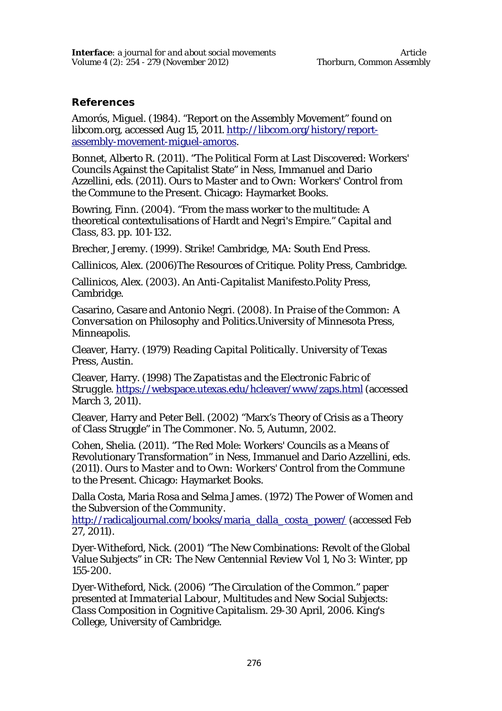### **References**

Amorós, Miguel. (1984). "Report on the Assembly Movement" found on libcom.org, accessed Aug 15, 2011. http://libcom.org/history/reportassembly-movement-miguel-amoros.

Bonnet, Alberto R. (2011). "The Political Form at Last Discovered: Workers' Councils Against the Capitalist State" in Ness, Immanuel and Dario Azzellini, eds. (2011). *Ours to Master and to Own: Workers' Control from the Commune to the Present*. Chicago: Haymarket Books.

Bowring, Finn. (2004). "From the mass worker to the multitude: A theoretical contextulisations of Hardt and Negri's *Empire.*" *Capital and Class,* 83. pp. 101-132.

Brecher, Jeremy. (1999). *Strike!* Cambridge, MA: South End Press.

Callinicos, Alex. (2006)*The Resources of Critique*. Polity Press, Cambridge.

Callinicos, Alex. (2003). *An Anti-Capitalist Manifesto.*Polity Press, Cambridge.

Casarino, Casare and Antonio Negri. (2008). *In Praise of the Common: A Conversation on Philosophy and Politics.*University of Minnesota Press, Minneapolis.

Cleaver, Harry. (1979) *Reading Capital Politically.* University of Texas Press, Austin.

Cleaver, Harry. (1998) *The Zapatistas and the Electronic Fabric of Struggle.* https://webspace.utexas.edu/hcleaver/www/zaps.html (accessed March 3, 2011).

Cleaver, Harry and Peter Bell. (2002) "Marx's Theory of Crisis as a Theory of Class Struggle*"* in *The Commoner.* No. 5, Autumn, 2002.

Cohen, Shelia. (2011). "The Red Mole: Workers' Councils as a Means of Revolutionary Transformation" in Ness, Immanuel and Dario Azzellini, eds. (2011). *Ours to Master and to Own: Workers' Control from the Commune to the Present*. Chicago: Haymarket Books.

Dalla Costa, Maria Rosa and Selma James. (1972) *The Power of Women and the Subversion of the Community.*

http://radicaljournal.com/books/maria\_dalla\_costa\_power/ (accessed Feb 27, 2011).

Dyer-Witheford, Nick. (2001) "The New Combinations: Revolt of the Global Value Subjects" in *CR: The New Centennial Review* Vol 1, No 3: Winter, pp 155-200.

Dyer-Witheford, Nick. (2006) "The Circulation of the Common." paper presented at *Immaterial Labour, Multitudes and New Social Subjects: Class Composition in Cognitive Capitalism.* 29-30 April, 2006. King's College, University of Cambridge.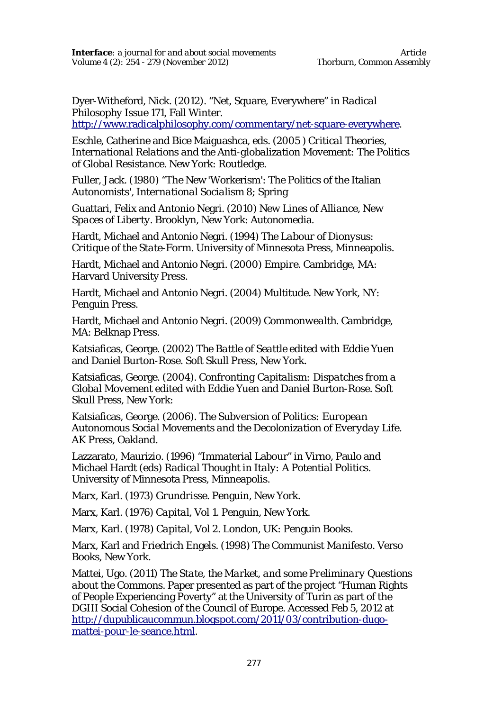Dyer-Witheford, Nick. (2012). "Net, Square, Everywhere" in *Radical Philosophy* Issue 171, Fall Winter.

http://www.radicalphilosophy.com/commentary/net-square-everywhere.

Eschle, Catherine and Bice Maiguashca, eds. (2005 ) *Critical Theories, International Relations and the Anti-globalization Movement: The Politics of Global Resistance.* New York: Routledge.

Fuller, Jack. (1980) "The New 'Workerism': The Politics of the Italian Autonomists', *International Socialism* 8; Spring

Guattari, Felix and Antonio Negri. (2010) *New Lines of Alliance, New Spaces of Liberty*. Brooklyn, New York: Autonomedia.

Hardt, Michael and Antonio Negri. (1994) *The Labour of Dionysus: Critique of the State-Form.* University of Minnesota Press, Minneapolis.

Hardt, Michael and Antonio Negri. (2000) *Empire.* Cambridge, MA: Harvard University Press.

Hardt, Michael and Antonio Negri. (2004) *Multitude.* New York, NY: Penguin Press.

Hardt, Michael and Antonio Negri. (2009) *Commonwealth.* Cambridge, MA: Belknap Press.

Katsiaficas, George. (2002) *The Battle of Seattle* edited with Eddie Yuen and Daniel Burton-Rose. Soft Skull Press, New York.

Katsiaficas, George. (2004). *Confronting Capitalism: Dispatches from a Global Movement* edited with Eddie Yuen and Daniel Burton-Rose. Soft Skull Press, New York:

Katsiaficas, George. (2006). *The Subversion of Politics: European Autonomous Social Movements and the Decolonization of Everyday Life.*  AK Press, Oakland.

Lazzarato, Maurizio. (1996) "Immaterial Labour" in Virno, Paulo and Michael Hardt (eds) *Radical Thought in Italy: A Potential Politics.* University of Minnesota Press, Minneapolis.

Marx, Karl. (1973) *Grundrisse*. Penguin, New York.

Marx, Karl. (1976) *Capital, Vol 1.* Penguin, New York.

Marx, Karl. (1978) *Capital, Vol 2.* London, UK: Penguin Books.

Marx, Karl and Friedrich Engels. (1998) *The Communist Manifesto*. Verso Books, New York.

Mattei, Ugo. (2011) *The State, the Market, and some Preliminary Questions about the Commons.* Paper presented as part of the project "Human Rights of People Experiencing Poverty" at the University of Turin as part of the DGIII Social Cohesion of the Council of Europe. Accessed Feb 5, 2012 at http://dupublicaucommun.blogspot.com/2011/03/contribution-dugomattei-pour-le-seance.html.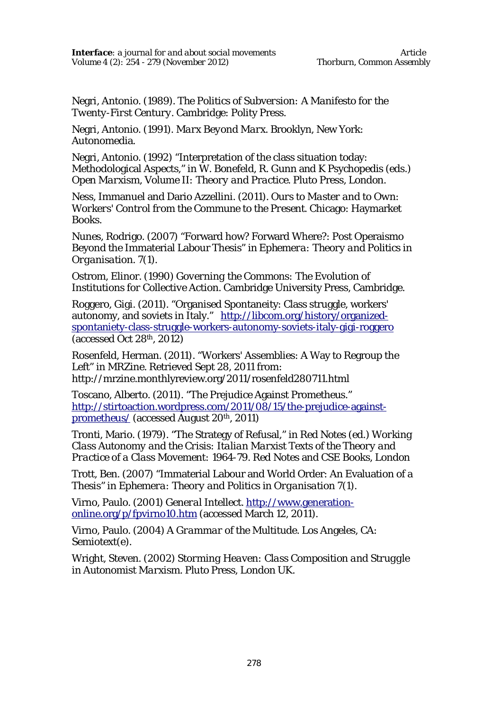Negri, Antonio. (1989). *The Politics of Subversion: A Manifesto for the Twenty-First Century*. Cambridge: Polity Press.

Negri, Antonio. (1991). *Marx Beyond Marx.* Brooklyn, New York: Autonomedia.

Negri, Antonio. (1992) "Interpretation of the class situation today: Methodological Aspects," in W. Bonefeld, R. Gunn and K Psychopedis (eds.) *Open Marxism, Volume II: Theory and Practice*. Pluto Press, London.

Ness, Immanuel and Dario Azzellini. (2011). *Ours to Master and to Own: Workers' Control from the Commune to the Present*. Chicago: Haymarket Books.

Nunes, Rodrigo. (2007) "Forward how? Forward Where?: Post Operaismo Beyond the Immaterial Labour Thesis" in *Ephemera: Theory and Politics in Organisation.* 7(1).

Ostrom, Elinor. (1990) *Governing the Commons: The Evolution of Institutions for Collective Action.* Cambridge University Press, Cambridge.

Roggero, Gigi. (2011). "Organised Spontaneity: Class struggle, workers' autonomy, and soviets in Italy." http://libcom.org/history/organizedspontaniety-class-struggle-workers-autonomy-soviets-italy-gigi-roggero (accessed Oct 28th, 2012)

Rosenfeld, Herman. (2011). "Workers' Assemblies: A Way to Regroup the Left" in *MRZine.* Retrieved Sept 28, 2011 from: http://mrzine.monthlyreview.org/2011/rosenfeld280711.html

Toscano, Alberto. (2011). "The Prejudice Against Prometheus." http://stirtoaction.wordpress.com/2011/08/15/the-prejudice-againstprometheus/ (accessed August 20<sup>th</sup>, 2011)

Tronti, Mario. (1979). "The Strategy of Refusal," in Red Notes (ed.) *Working Class Autonomy and the Crisis: Italian Marxist Texts of the Theory and Practice of a Class Movement: 1964-79*. Red Notes and CSE Books, London

Trott, Ben. (2007) "Immaterial Labour and World Order: An Evaluation of a Thesis" in *Ephemera: Theory and Politics in Organisation* 7(1).

Virno, Paulo. (2001) *General Intellect.* http://www.generationonline.org/p/fpvirno10.htm (accessed March 12, 2011).

Virno, Paulo. (2004) *A Grammar of the Multitude.* Los Angeles, CA: Semiotext(e).

Wright, Steven. (2002) *Storming Heaven: Class Composition and Struggle in Autonomist Marxism.* Pluto Press, London UK.